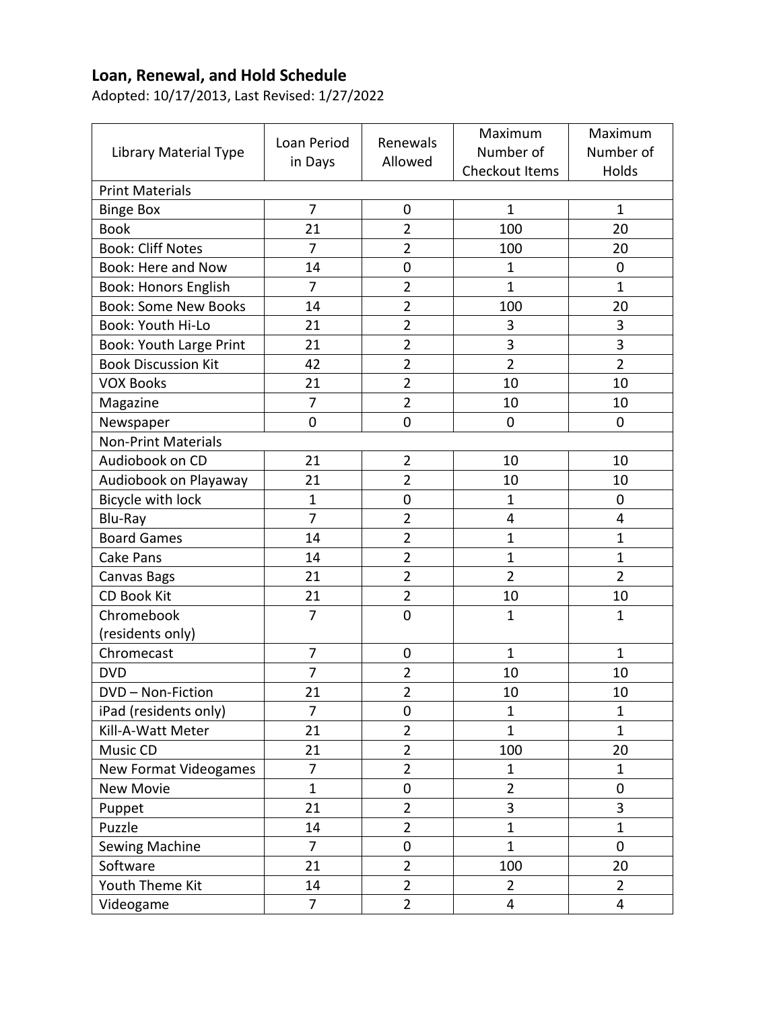## **Loan, Renewal, and Hold Schedule**

Adopted: 10/17/2013, Last Revised: 1/27/2022

| Library Material Type          | Loan Period<br>in Days | Renewals<br>Allowed | Maximum        | Maximum        |  |  |  |
|--------------------------------|------------------------|---------------------|----------------|----------------|--|--|--|
|                                |                        |                     | Number of      | Number of      |  |  |  |
|                                |                        |                     | Checkout Items | Holds          |  |  |  |
| <b>Print Materials</b>         |                        |                     |                |                |  |  |  |
| <b>Binge Box</b>               | 7                      | $\boldsymbol{0}$    | $\mathbf{1}$   | 1              |  |  |  |
| <b>Book</b>                    | 21                     | $\overline{2}$      | 100            | 20             |  |  |  |
| <b>Book: Cliff Notes</b>       | $\overline{7}$         | $\overline{2}$      | 100            | 20             |  |  |  |
| Book: Here and Now             | 14                     | $\mathbf 0$         | $\mathbf{1}$   | $\mathbf 0$    |  |  |  |
| <b>Book: Honors English</b>    | $\overline{7}$         | $\overline{2}$      | $\mathbf{1}$   | $\mathbf 1$    |  |  |  |
| <b>Book: Some New Books</b>    | 14                     | $\overline{2}$      | 100            | 20             |  |  |  |
| <b>Book: Youth Hi-Lo</b>       | 21                     | $\overline{2}$      | 3              | 3              |  |  |  |
| <b>Book: Youth Large Print</b> | 21                     | $\overline{2}$      | 3              | 3              |  |  |  |
| <b>Book Discussion Kit</b>     | 42                     | $\overline{2}$      | $\overline{2}$ | $\overline{2}$ |  |  |  |
| <b>VOX Books</b>               | 21                     | $\overline{2}$      | 10             | 10             |  |  |  |
| Magazine                       | $\overline{7}$         | $\overline{2}$      | 10             | 10             |  |  |  |
| Newspaper                      | $\mathbf 0$            | $\mathbf 0$         | 0              | $\mathbf 0$    |  |  |  |
| <b>Non-Print Materials</b>     |                        |                     |                |                |  |  |  |
| Audiobook on CD                | 21                     | $\overline{2}$      | 10             | 10             |  |  |  |
| Audiobook on Playaway          | 21                     | $\overline{2}$      | 10             | 10             |  |  |  |
| Bicycle with lock              | $\mathbf 1$            | $\mathbf 0$         | $\mathbf 1$    | 0              |  |  |  |
| Blu-Ray                        | 7                      | $\overline{2}$      | 4              | 4              |  |  |  |
| <b>Board Games</b>             | 14                     | $\overline{2}$      | $\mathbf{1}$   | $\mathbf{1}$   |  |  |  |
| <b>Cake Pans</b>               | 14                     | $\overline{2}$      | $\mathbf{1}$   | $\mathbf{1}$   |  |  |  |
| Canvas Bags                    | 21                     | $\overline{2}$      | $\overline{2}$ | $\overline{2}$ |  |  |  |
| <b>CD Book Kit</b>             | 21                     | $\overline{2}$      | 10             | 10             |  |  |  |
| Chromebook                     | 7                      | $\overline{0}$      | $\mathbf{1}$   | $\mathbf{1}$   |  |  |  |
| (residents only)               |                        |                     |                |                |  |  |  |
| Chromecast                     | 7                      | $\mathbf 0$         | $\mathbf 1$    | $\mathbf{1}$   |  |  |  |
| <b>DVD</b>                     | 7                      | $\overline{2}$      | 10             | 10             |  |  |  |
| DVD - Non-Fiction              | 21                     | $\overline{2}$      | 10             | 10             |  |  |  |
| iPad (residents only)          | $\overline{7}$         | $\pmb{0}$           | $\mathbf{1}$   | $\mathbf{1}$   |  |  |  |
| Kill-A-Watt Meter              | 21                     | $\overline{2}$      | $\mathbf{1}$   | $\mathbf{1}$   |  |  |  |
| Music CD                       | 21                     | $\overline{2}$      | 100            | 20             |  |  |  |
| New Format Videogames          | $\overline{7}$         | $\overline{2}$      | $\mathbf 1$    | $\mathbf{1}$   |  |  |  |
| <b>New Movie</b>               | $\mathbf{1}$           | $\pmb{0}$           | $\overline{2}$ | 0              |  |  |  |
| Puppet                         | 21                     | $\overline{2}$      | 3              | 3              |  |  |  |
| Puzzle                         | 14                     | $\overline{2}$      | $\mathbf{1}$   | $\mathbf{1}$   |  |  |  |
| Sewing Machine                 | $\overline{7}$         | 0                   | $\mathbf{1}$   | $\mathbf 0$    |  |  |  |
| Software                       | 21                     | $\overline{2}$      | 100            | 20             |  |  |  |
| Youth Theme Kit                | 14                     | $\overline{2}$      | $\overline{2}$ | $\overline{2}$ |  |  |  |
| Videogame                      | $\overline{7}$         | $\overline{2}$      | 4              | $\overline{4}$ |  |  |  |